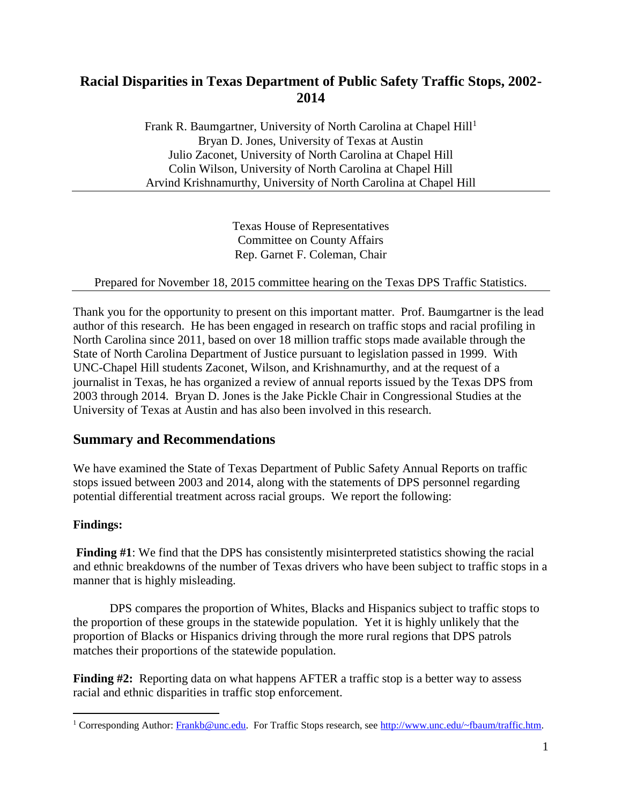# **Racial Disparities in Texas Department of Public Safety Traffic Stops, 2002- 2014**

Frank R. Baumgartner, University of North Carolina at Chapel Hill<sup>1</sup> Bryan D. Jones, University of Texas at Austin Julio Zaconet, University of North Carolina at Chapel Hill Colin Wilson, University of North Carolina at Chapel Hill Arvind Krishnamurthy, University of North Carolina at Chapel Hill

> Texas House of Representatives Committee on County Affairs Rep. Garnet F. Coleman, Chair

Prepared for November 18, 2015 committee hearing on the Texas DPS Traffic Statistics.

Thank you for the opportunity to present on this important matter. Prof. Baumgartner is the lead author of this research. He has been engaged in research on traffic stops and racial profiling in North Carolina since 2011, based on over 18 million traffic stops made available through the State of North Carolina Department of Justice pursuant to legislation passed in 1999. With UNC-Chapel Hill students Zaconet, Wilson, and Krishnamurthy, and at the request of a journalist in Texas, he has organized a review of annual reports issued by the Texas DPS from 2003 through 2014. Bryan D. Jones is the Jake Pickle Chair in Congressional Studies at the University of Texas at Austin and has also been involved in this research.

#### **Summary and Recommendations**

We have examined the State of Texas Department of Public Safety Annual Reports on traffic stops issued between 2003 and 2014, along with the statements of DPS personnel regarding potential differential treatment across racial groups. We report the following:

#### **Findings:**

 $\overline{a}$ 

**Finding #1**: We find that the DPS has consistently misinterpreted statistics showing the racial and ethnic breakdowns of the number of Texas drivers who have been subject to traffic stops in a manner that is highly misleading.

DPS compares the proportion of Whites, Blacks and Hispanics subject to traffic stops to the proportion of these groups in the statewide population. Yet it is highly unlikely that the proportion of Blacks or Hispanics driving through the more rural regions that DPS patrols matches their proportions of the statewide population.

**Finding #2:** Reporting data on what happens AFTER a traffic stop is a better way to assess racial and ethnic disparities in traffic stop enforcement.

<sup>&</sup>lt;sup>1</sup> Corresponding Author: [Frankb@unc.edu.](mailto:Frankb@unc.edu) For Traffic Stops research, see [http://www.unc.edu/~fbaum/traffic.htm.](http://www.unc.edu/~fbaum/traffic.htm)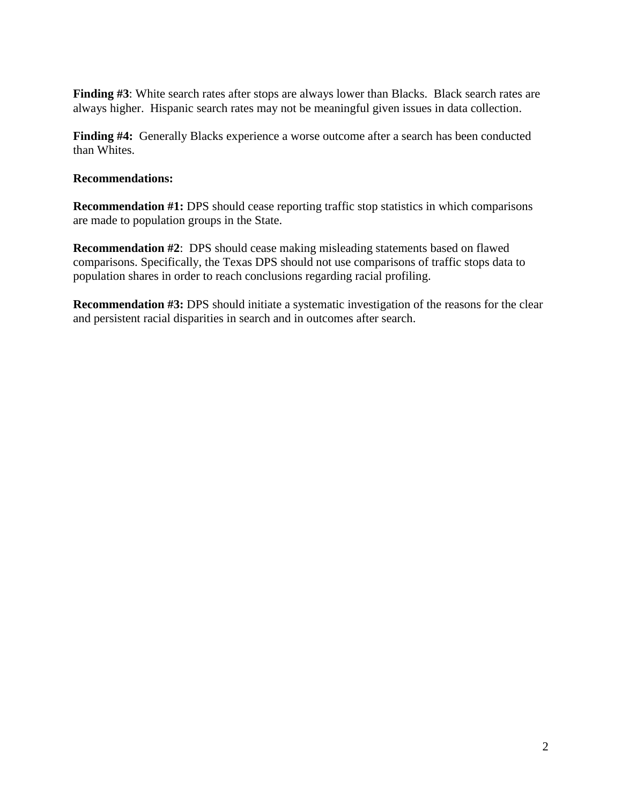Finding #3: White search rates after stops are always lower than Blacks. Black search rates are always higher. Hispanic search rates may not be meaningful given issues in data collection.

**Finding #4:** Generally Blacks experience a worse outcome after a search has been conducted than Whites.

#### **Recommendations:**

**Recommendation #1:** DPS should cease reporting traffic stop statistics in which comparisons are made to population groups in the State.

**Recommendation #2**: DPS should cease making misleading statements based on flawed comparisons. Specifically, the Texas DPS should not use comparisons of traffic stops data to population shares in order to reach conclusions regarding racial profiling.

**Recommendation #3:** DPS should initiate a systematic investigation of the reasons for the clear and persistent racial disparities in search and in outcomes after search.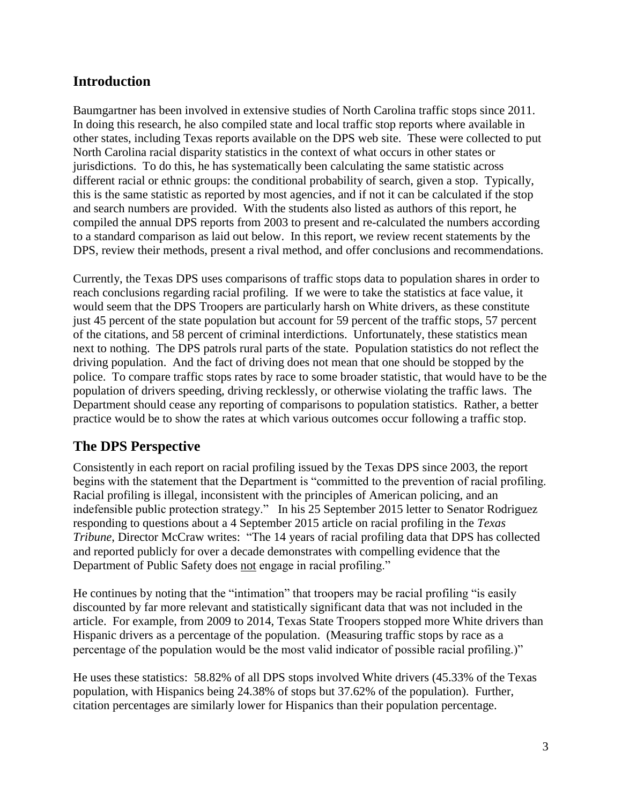#### **Introduction**

Baumgartner has been involved in extensive studies of North Carolina traffic stops since 2011. In doing this research, he also compiled state and local traffic stop reports where available in other states, including Texas reports available on the DPS web site. These were collected to put North Carolina racial disparity statistics in the context of what occurs in other states or jurisdictions. To do this, he has systematically been calculating the same statistic across different racial or ethnic groups: the conditional probability of search, given a stop. Typically, this is the same statistic as reported by most agencies, and if not it can be calculated if the stop and search numbers are provided. With the students also listed as authors of this report, he compiled the annual DPS reports from 2003 to present and re-calculated the numbers according to a standard comparison as laid out below. In this report, we review recent statements by the DPS, review their methods, present a rival method, and offer conclusions and recommendations.

Currently, the Texas DPS uses comparisons of traffic stops data to population shares in order to reach conclusions regarding racial profiling. If we were to take the statistics at face value, it would seem that the DPS Troopers are particularly harsh on White drivers, as these constitute just 45 percent of the state population but account for 59 percent of the traffic stops, 57 percent of the citations, and 58 percent of criminal interdictions. Unfortunately, these statistics mean next to nothing. The DPS patrols rural parts of the state. Population statistics do not reflect the driving population. And the fact of driving does not mean that one should be stopped by the police. To compare traffic stops rates by race to some broader statistic, that would have to be the population of drivers speeding, driving recklessly, or otherwise violating the traffic laws. The Department should cease any reporting of comparisons to population statistics. Rather, a better practice would be to show the rates at which various outcomes occur following a traffic stop.

# **The DPS Perspective**

Consistently in each report on racial profiling issued by the Texas DPS since 2003, the report begins with the statement that the Department is "committed to the prevention of racial profiling. Racial profiling is illegal, inconsistent with the principles of American policing, and an indefensible public protection strategy." In his 25 September 2015 letter to Senator Rodriguez responding to questions about a 4 September 2015 article on racial profiling in the *Texas Tribune*, Director McCraw writes: "The 14 years of racial profiling data that DPS has collected and reported publicly for over a decade demonstrates with compelling evidence that the Department of Public Safety does not engage in racial profiling."

He continues by noting that the "intimation" that troopers may be racial profiling "is easily discounted by far more relevant and statistically significant data that was not included in the article. For example, from 2009 to 2014, Texas State Troopers stopped more White drivers than Hispanic drivers as a percentage of the population. (Measuring traffic stops by race as a percentage of the population would be the most valid indicator of possible racial profiling.)"

He uses these statistics: 58.82% of all DPS stops involved White drivers (45.33% of the Texas population, with Hispanics being 24.38% of stops but 37.62% of the population). Further, citation percentages are similarly lower for Hispanics than their population percentage.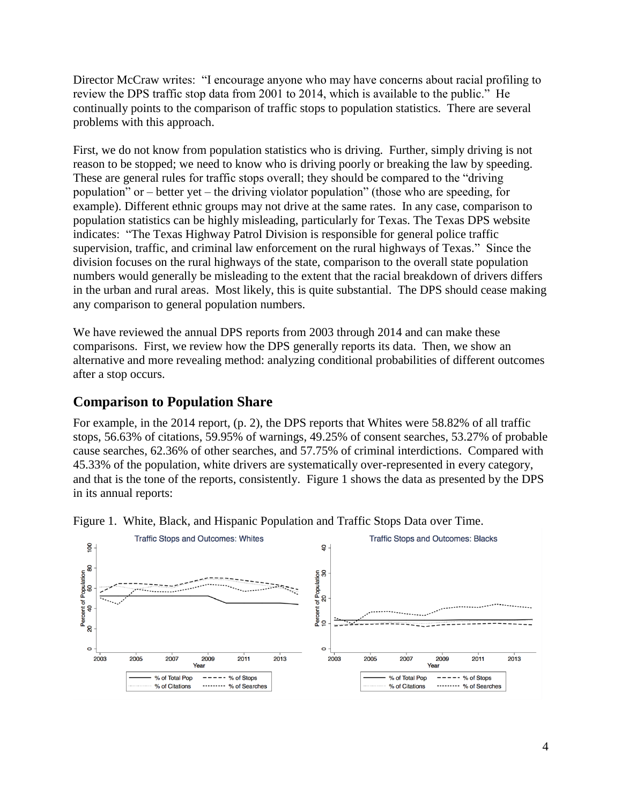Director McCraw writes: "I encourage anyone who may have concerns about racial profiling to review the DPS traffic stop data from 2001 to 2014, which is available to the public." He continually points to the comparison of traffic stops to population statistics. There are several problems with this approach.

First, we do not know from population statistics who is driving. Further, simply driving is not reason to be stopped; we need to know who is driving poorly or breaking the law by speeding. These are general rules for traffic stops overall; they should be compared to the "driving population" or – better yet – the driving violator population" (those who are speeding, for example). Different ethnic groups may not drive at the same rates. In any case, comparison to population statistics can be highly misleading, particularly for Texas. The Texas DPS website indicates: "The Texas Highway Patrol Division is responsible for general police traffic supervision, traffic, and criminal law enforcement on the rural highways of Texas." Since the division focuses on the rural highways of the state, comparison to the overall state population numbers would generally be misleading to the extent that the racial breakdown of drivers differs in the urban and rural areas. Most likely, this is quite substantial. The DPS should cease making any comparison to general population numbers.

We have reviewed the annual DPS reports from 2003 through 2014 and can make these comparisons. First, we review how the DPS generally reports its data. Then, we show an alternative and more revealing method: analyzing conditional probabilities of different outcomes after a stop occurs.

#### **Comparison to Population Share**

For example, in the 2014 report, (p. 2), the DPS reports that Whites were 58.82% of all traffic stops, 56.63% of citations, 59.95% of warnings, 49.25% of consent searches, 53.27% of probable cause searches, 62.36% of other searches, and 57.75% of criminal interdictions. Compared with 45.33% of the population, white drivers are systematically over-represented in every category, and that is the tone of the reports, consistently. Figure 1 shows the data as presented by the DPS in its annual reports:



Figure 1. White, Black, and Hispanic Population and Traffic Stops Data over Time.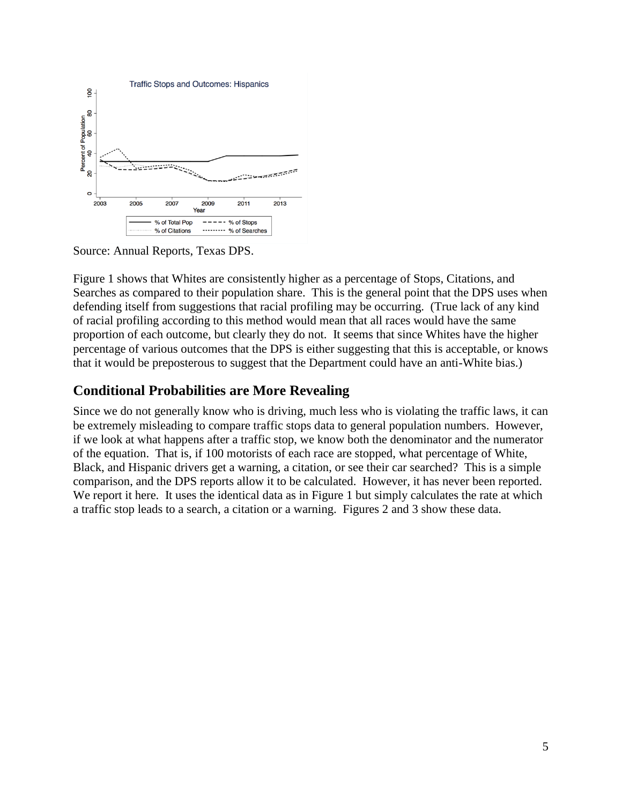

Source: Annual Reports, Texas DPS.

Figure 1 shows that Whites are consistently higher as a percentage of Stops, Citations, and Searches as compared to their population share. This is the general point that the DPS uses when defending itself from suggestions that racial profiling may be occurring. (True lack of any kind of racial profiling according to this method would mean that all races would have the same proportion of each outcome, but clearly they do not. It seems that since Whites have the higher percentage of various outcomes that the DPS is either suggesting that this is acceptable, or knows that it would be preposterous to suggest that the Department could have an anti-White bias.)

### **Conditional Probabilities are More Revealing**

Since we do not generally know who is driving, much less who is violating the traffic laws, it can be extremely misleading to compare traffic stops data to general population numbers. However, if we look at what happens after a traffic stop, we know both the denominator and the numerator of the equation. That is, if 100 motorists of each race are stopped, what percentage of White, Black, and Hispanic drivers get a warning, a citation, or see their car searched? This is a simple comparison, and the DPS reports allow it to be calculated. However, it has never been reported. We report it here. It uses the identical data as in Figure 1 but simply calculates the rate at which a traffic stop leads to a search, a citation or a warning. Figures 2 and 3 show these data.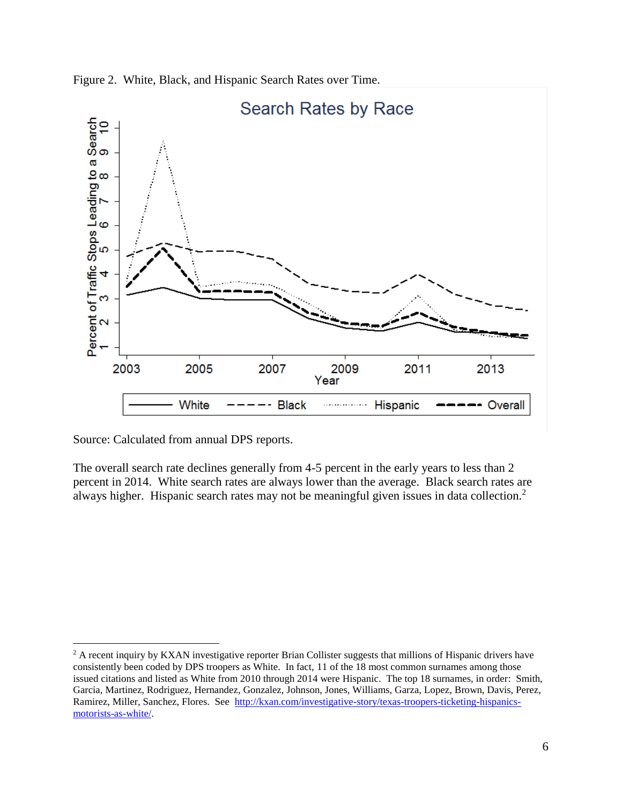



Source: Calculated from annual DPS reports.

 $\overline{a}$ 

The overall search rate declines generally from 4-5 percent in the early years to less than 2 percent in 2014. White search rates are always lower than the average. Black search rates are always higher. Hispanic search rates may not be meaningful given issues in data collection.<sup>2</sup>

<sup>&</sup>lt;sup>2</sup> A recent inquiry by KXAN investigative reporter Brian Collister suggests that millions of Hispanic drivers have consistently been coded by DPS troopers as White. In fact, 11 of the 18 most common surnames among those issued citations and listed as White from 2010 through 2014 were Hispanic. The top 18 surnames, in order: Smith, Garcia, Martinez, Rodriguez, Hernandez, Gonzalez, Johnson, Jones, Williams, Garza, Lopez, Brown, Davis, Perez, Ramirez, Miller, Sanchez, Flores. See [http://kxan.com/investigative-story/texas-troopers-ticketing-hispanics](http://kxan.com/investigative-story/texas-troopers-ticketing-hispanics-motorists-as-white/)[motorists-as-white/.](http://kxan.com/investigative-story/texas-troopers-ticketing-hispanics-motorists-as-white/)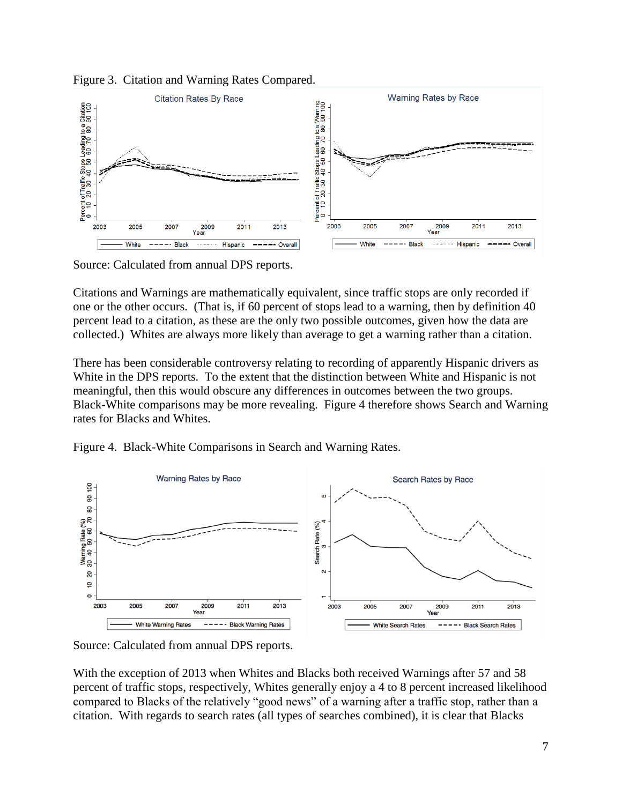



Source: Calculated from annual DPS reports.

Citations and Warnings are mathematically equivalent, since traffic stops are only recorded if one or the other occurs. (That is, if 60 percent of stops lead to a warning, then by definition 40 percent lead to a citation, as these are the only two possible outcomes, given how the data are collected.) Whites are always more likely than average to get a warning rather than a citation.

There has been considerable controversy relating to recording of apparently Hispanic drivers as White in the DPS reports. To the extent that the distinction between White and Hispanic is not meaningful, then this would obscure any differences in outcomes between the two groups. Black-White comparisons may be more revealing. Figure 4 therefore shows Search and Warning rates for Blacks and Whites.





Source: Calculated from annual DPS reports.

With the exception of 2013 when Whites and Blacks both received Warnings after 57 and 58 percent of traffic stops, respectively, Whites generally enjoy a 4 to 8 percent increased likelihood compared to Blacks of the relatively "good news" of a warning after a traffic stop, rather than a citation. With regards to search rates (all types of searches combined), it is clear that Blacks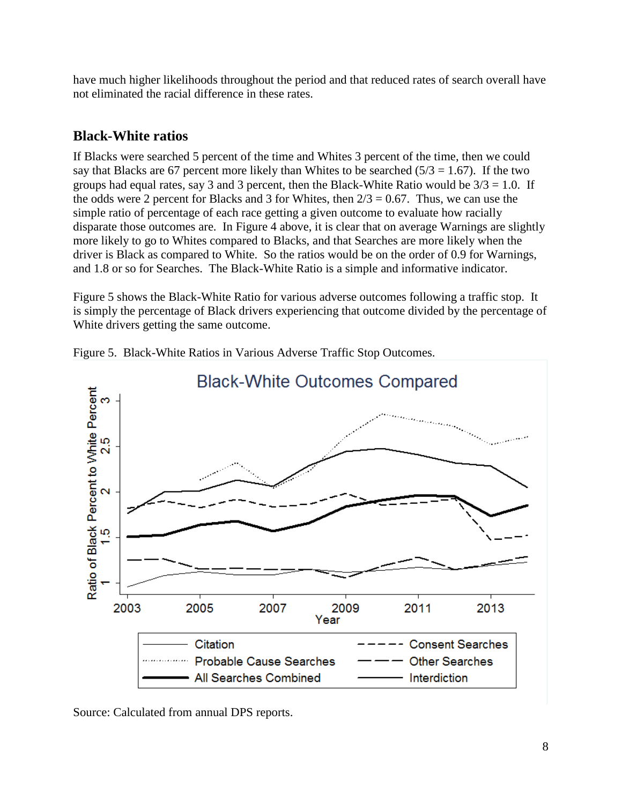have much higher likelihoods throughout the period and that reduced rates of search overall have not eliminated the racial difference in these rates.

### **Black-White ratios**

If Blacks were searched 5 percent of the time and Whites 3 percent of the time, then we could say that Blacks are 67 percent more likely than Whites to be searched  $(5/3 = 1.67)$ . If the two groups had equal rates, say 3 and 3 percent, then the Black-White Ratio would be  $3/3 = 1.0$ . If the odds were 2 percent for Blacks and 3 for Whites, then  $2/3 = 0.67$ . Thus, we can use the simple ratio of percentage of each race getting a given outcome to evaluate how racially disparate those outcomes are. In Figure 4 above, it is clear that on average Warnings are slightly more likely to go to Whites compared to Blacks, and that Searches are more likely when the driver is Black as compared to White. So the ratios would be on the order of 0.9 for Warnings, and 1.8 or so for Searches. The Black-White Ratio is a simple and informative indicator.

Figure 5 shows the Black-White Ratio for various adverse outcomes following a traffic stop. It is simply the percentage of Black drivers experiencing that outcome divided by the percentage of White drivers getting the same outcome.



Figure 5. Black-White Ratios in Various Adverse Traffic Stop Outcomes.

Source: Calculated from annual DPS reports.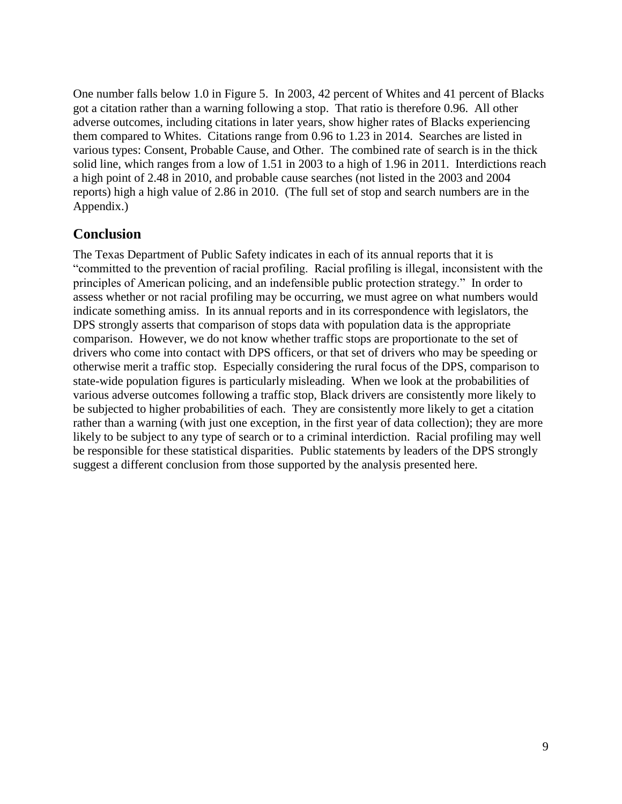One number falls below 1.0 in Figure 5. In 2003, 42 percent of Whites and 41 percent of Blacks got a citation rather than a warning following a stop. That ratio is therefore 0.96. All other adverse outcomes, including citations in later years, show higher rates of Blacks experiencing them compared to Whites. Citations range from 0.96 to 1.23 in 2014. Searches are listed in various types: Consent, Probable Cause, and Other. The combined rate of search is in the thick solid line, which ranges from a low of 1.51 in 2003 to a high of 1.96 in 2011. Interdictions reach a high point of 2.48 in 2010, and probable cause searches (not listed in the 2003 and 2004 reports) high a high value of 2.86 in 2010. (The full set of stop and search numbers are in the Appendix.)

#### **Conclusion**

The Texas Department of Public Safety indicates in each of its annual reports that it is "committed to the prevention of racial profiling. Racial profiling is illegal, inconsistent with the principles of American policing, and an indefensible public protection strategy." In order to assess whether or not racial profiling may be occurring, we must agree on what numbers would indicate something amiss. In its annual reports and in its correspondence with legislators, the DPS strongly asserts that comparison of stops data with population data is the appropriate comparison. However, we do not know whether traffic stops are proportionate to the set of drivers who come into contact with DPS officers, or that set of drivers who may be speeding or otherwise merit a traffic stop. Especially considering the rural focus of the DPS, comparison to state-wide population figures is particularly misleading. When we look at the probabilities of various adverse outcomes following a traffic stop, Black drivers are consistently more likely to be subjected to higher probabilities of each. They are consistently more likely to get a citation rather than a warning (with just one exception, in the first year of data collection); they are more likely to be subject to any type of search or to a criminal interdiction. Racial profiling may well be responsible for these statistical disparities. Public statements by leaders of the DPS strongly suggest a different conclusion from those supported by the analysis presented here.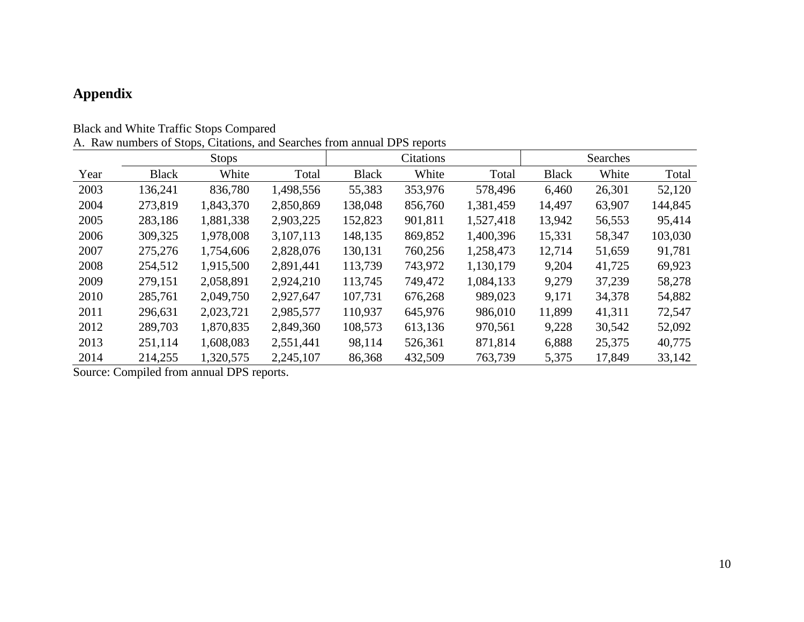# **Appendix**

|  |  |  |  | <b>Black and White Traffic Stops Compared</b> |
|--|--|--|--|-----------------------------------------------|
|--|--|--|--|-----------------------------------------------|

|  |  |  |  | A. Raw numbers of Stops, Citations, and Searches from annual DPS reports |  |  |  |  |  |  |
|--|--|--|--|--------------------------------------------------------------------------|--|--|--|--|--|--|
|--|--|--|--|--------------------------------------------------------------------------|--|--|--|--|--|--|

|      |              | <b>Stops</b> |           | Citations    |         |           | Searches     |        |         |
|------|--------------|--------------|-----------|--------------|---------|-----------|--------------|--------|---------|
| Year | <b>Black</b> | White        | Total     | <b>Black</b> | White   | Total     | <b>Black</b> | White  | Total   |
| 2003 | 136,241      | 836,780      | 1,498,556 | 55,383       | 353,976 | 578,496   | 6,460        | 26,301 | 52,120  |
| 2004 | 273,819      | 1,843,370    | 2,850,869 | 138,048      | 856,760 | 1,381,459 | 14,497       | 63,907 | 144,845 |
| 2005 | 283,186      | 1,881,338    | 2,903,225 | 152,823      | 901,811 | 1,527,418 | 13,942       | 56,553 | 95,414  |
| 2006 | 309,325      | 1,978,008    | 3,107,113 | 148,135      | 869,852 | 1,400,396 | 15,331       | 58,347 | 103,030 |
| 2007 | 275,276      | 1,754,606    | 2,828,076 | 130,131      | 760,256 | 1,258,473 | 12,714       | 51,659 | 91,781  |
| 2008 | 254,512      | 1,915,500    | 2,891,441 | 113,739      | 743,972 | 1,130,179 | 9,204        | 41,725 | 69,923  |
| 2009 | 279,151      | 2,058,891    | 2,924,210 | 113,745      | 749,472 | 1,084,133 | 9,279        | 37,239 | 58,278  |
| 2010 | 285,761      | 2,049,750    | 2,927,647 | 107,731      | 676,268 | 989,023   | 9,171        | 34,378 | 54,882  |
| 2011 | 296,631      | 2,023,721    | 2,985,577 | 110,937      | 645,976 | 986,010   | 11,899       | 41,311 | 72,547  |
| 2012 | 289,703      | 1,870,835    | 2,849,360 | 108,573      | 613,136 | 970,561   | 9,228        | 30,542 | 52,092  |
| 2013 | 251,114      | 1,608,083    | 2,551,441 | 98,114       | 526,361 | 871,814   | 6,888        | 25,375 | 40,775  |
| 2014 | 214,255      | 1,320,575    | 2,245,107 | 86,368       | 432,509 | 763,739   | 5,375        | 17,849 | 33,142  |

Source: Compiled from annual DPS reports.